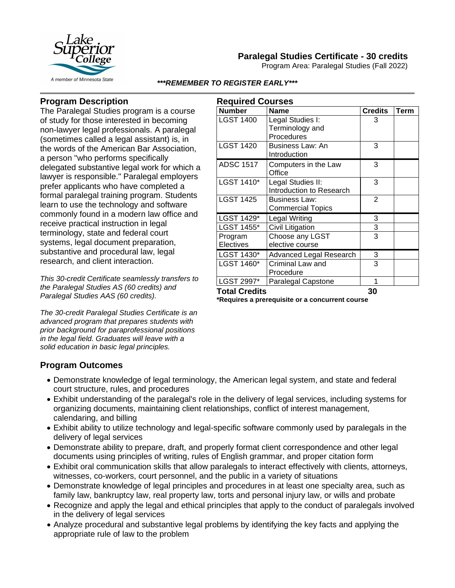

# **Paralegal Studies Certificate - 30 credits**

Program Area: Paralegal Studies (Fall 2022)

#### *\*\*\*REMEMBER TO REGISTER EARLY\*\*\**

## **Program Description**

The Paralegal Studies program is a course of study for those interested in becoming non-lawyer legal professionals. A paralegal (sometimes called a legal assistant) is, in the words of the American Bar Association, a person "who performs specifically delegated substantive legal work for which a lawyer is responsible." Paralegal employers prefer applicants who have completed a formal paralegal training program. Students learn to use the technology and software commonly found in a modern law office and receive practical instruction in legal terminology, state and federal court systems, legal document preparation, substantive and procedural law, legal research, and client interaction.

*This 30-credit Certificate seamlessly transfers to the Paralegal Studies AS (60 credits) and Paralegal Studies AAS (60 credits).*

*The 30-credit Paralegal Studies Certificate is an advanced program that prepares students with prior background for paraprofessional positions in the legal field. Graduates will leave with a solid education in basic legal principles.*

| <b>Required Courses</b> |                           |                |      |
|-------------------------|---------------------------|----------------|------|
| <b>Number</b>           | <b>Name</b>               | <b>Credits</b> | Term |
| <b>LGST 1400</b>        | Legal Studies I:          | 3              |      |
|                         | Terminology and           |                |      |
|                         | Procedures                |                |      |
| <b>LGST 1420</b>        | Business Law: An          | 3              |      |
|                         | Introduction              |                |      |
| <b>ADSC 1517</b>        | Computers in the Law      | 3              |      |
|                         | Office                    |                |      |
| LGST 1410*              | Legal Studies II:         | 3              |      |
|                         | Introduction to Research  |                |      |
| <b>LGST 1425</b>        | <b>Business Law:</b>      | $\overline{2}$ |      |
|                         | <b>Commercial Topics</b>  |                |      |
| LGST 1429*              | <b>Legal Writing</b>      | 3              |      |
| LGST 1455*              | Civil Litigation          | 3              |      |
| Program                 | Choose any LGST           | 3              |      |
| Electives               | elective course           |                |      |
| LGST 1430*              | Advanced Legal Research   | 3              |      |
| LGST 1460*              | Criminal Law and          | 3              |      |
|                         | Procedure                 |                |      |
| LGST 2997*              | <b>Paralegal Capstone</b> | 1              |      |
| <b>Total Credits</b>    |                           | 30             |      |

**\*Requires a prerequisite or a concurrent course**

### **Program Outcomes**

- Demonstrate knowledge of legal terminology, the American legal system, and state and federal court structure, rules, and procedures
- Exhibit understanding of the paralegal's role in the delivery of legal services, including systems for organizing documents, maintaining client relationships, conflict of interest management, calendaring, and billing
- Exhibit ability to utilize technology and legal-specific software commonly used by paralegals in the delivery of legal services
- Demonstrate ability to prepare, draft, and properly format client correspondence and other legal documents using principles of writing, rules of English grammar, and proper citation form
- Exhibit oral communication skills that allow paralegals to interact effectively with clients, attorneys, witnesses, co-workers, court personnel, and the public in a variety of situations
- Demonstrate knowledge of legal principles and procedures in at least one specialty area, such as family law, bankruptcy law, real property law, torts and personal injury law, or wills and probate
- Recognize and apply the legal and ethical principles that apply to the conduct of paralegals involved in the delivery of legal services
- Analyze procedural and substantive legal problems by identifying the key facts and applying the appropriate rule of law to the problem